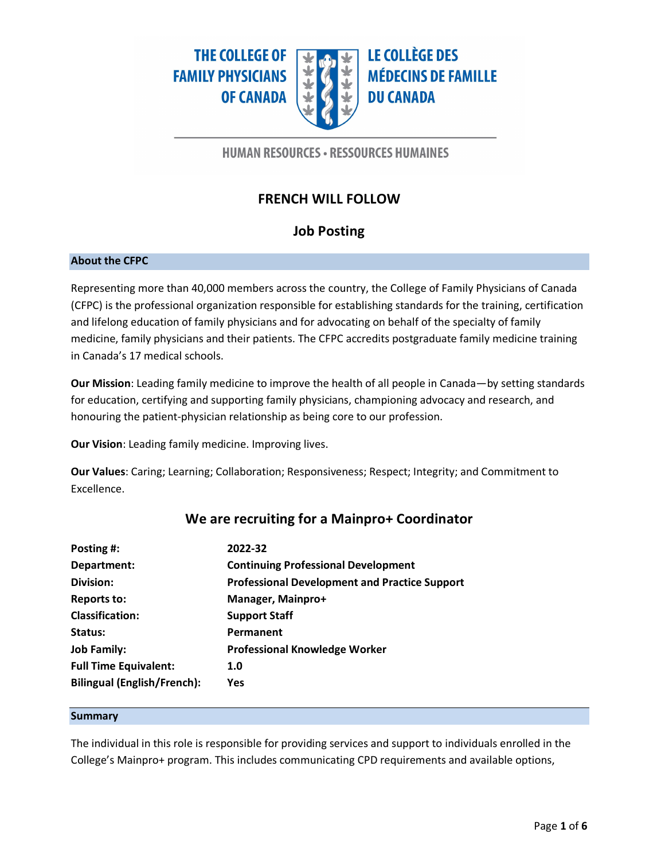**THE COLLEGE OF FAMILY PHYSICIANS OF CANADA** 



**LE COLLÈGE DES MÉDECINS DE FAMILLE DU CANADA** 

## **HUMAN RESOURCES · RESSOURCES HUMAINES**

# **FRENCH WILL FOLLOW**

# **Job Posting**

## **About the CFPC**

Representing more than 40,000 members across the country, the College of Family Physicians of Canada (CFPC) is the professional organization responsible for establishing standards for the training, certification and lifelong education of family physicians and for advocating on behalf of the specialty of family medicine, family physicians and their patients. The CFPC accredits postgraduate family medicine training in Canada's 17 medical schools.

**Our Mission**: Leading family medicine to improve the health of all people in Canada—by setting standards for education, certifying and supporting family physicians, championing advocacy and research, and honouring the patient-physician relationship as being core to our profession.

**Our Vision**: Leading family medicine. Improving lives.

**Our Values**: Caring; Learning; Collaboration; Responsiveness; Respect; Integrity; and Commitment to Excellence.

| Posting #:                         | 2022-32                                              |
|------------------------------------|------------------------------------------------------|
| Department:                        | <b>Continuing Professional Development</b>           |
| Division:                          | <b>Professional Development and Practice Support</b> |
| <b>Reports to:</b>                 | Manager, Mainpro+                                    |
| <b>Classification:</b>             | <b>Support Staff</b>                                 |
| Status:                            | Permanent                                            |
| <b>Job Family:</b>                 | <b>Professional Knowledge Worker</b>                 |
| <b>Full Time Equivalent:</b>       | 1.0                                                  |
| <b>Bilingual (English/French):</b> | Yes                                                  |
|                                    |                                                      |

## **We are recruiting for a Mainpro+ Coordinator**

#### **Summary**

The individual in this role is responsible for providing services and support to individuals enrolled in the College's Mainpro+ program. This includes communicating CPD requirements and available options,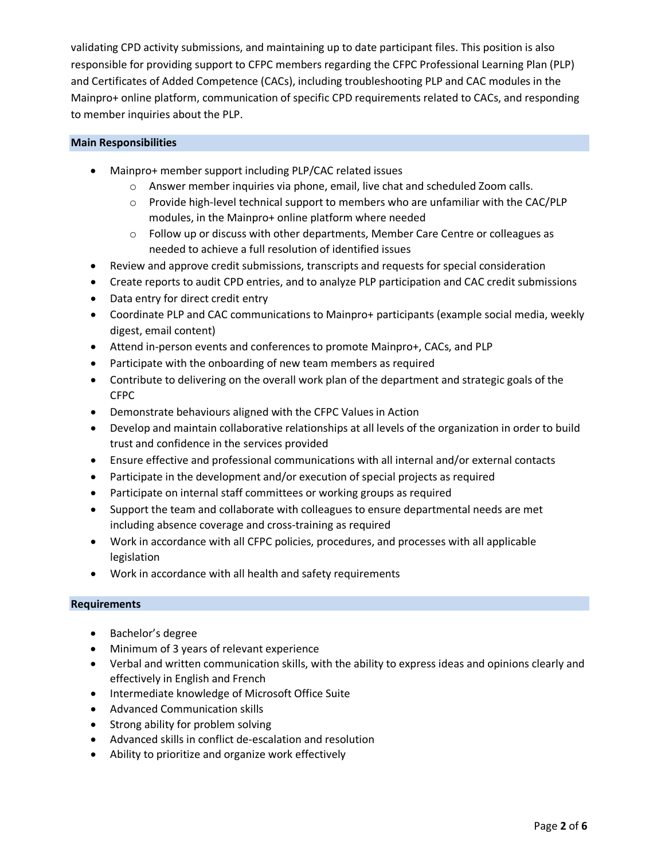validating CPD activity submissions, and maintaining up to date participant files. This position is also responsible for providing support to CFPC members regarding the CFPC Professional Learning Plan (PLP) and Certificates of Added Competence (CACs), including troubleshooting PLP and CAC modules in the Mainpro+ online platform, communication of specific CPD requirements related to CACs, and responding to member inquiries about the PLP.

### **Main Responsibilities**

- Mainpro+ member support including PLP/CAC related issues
	- o Answer member inquiries via phone, email, live chat and scheduled Zoom calls.
	- o Provide high-level technical support to members who are unfamiliar with the CAC/PLP modules, in the Mainpro+ online platform where needed
	- o Follow up or discuss with other departments, Member Care Centre or colleagues as needed to achieve a full resolution of identified issues
- Review and approve credit submissions, transcripts and requests for special consideration
- Create reports to audit CPD entries, and to analyze PLP participation and CAC credit submissions
- Data entry for direct credit entry
- Coordinate PLP and CAC communications to Mainpro+ participants (example social media, weekly digest, email content)
- Attend in-person events and conferences to promote Mainpro+, CACs, and PLP
- Participate with the onboarding of new team members as required
- Contribute to delivering on the overall work plan of the department and strategic goals of the CFPC
- Demonstrate behaviours aligned with the CFPC Values in Action
- Develop and maintain collaborative relationships at all levels of the organization in order to build trust and confidence in the services provided
- Ensure effective and professional communications with all internal and/or external contacts
- Participate in the development and/or execution of special projects as required
- Participate on internal staff committees or working groups as required
- Support the team and collaborate with colleagues to ensure departmental needs are met including absence coverage and cross-training as required
- Work in accordance with all CFPC policies, procedures, and processes with all applicable legislation
- Work in accordance with all health and safety requirements

### **Requirements**

- Bachelor's degree
- Minimum of 3 years of relevant experience
- Verbal and written communication skills, with the ability to express ideas and opinions clearly and effectively in English and French
- Intermediate knowledge of Microsoft Office Suite
- Advanced Communication skills
- Strong ability for problem solving
- Advanced skills in conflict de-escalation and resolution
- Ability to prioritize and organize work effectively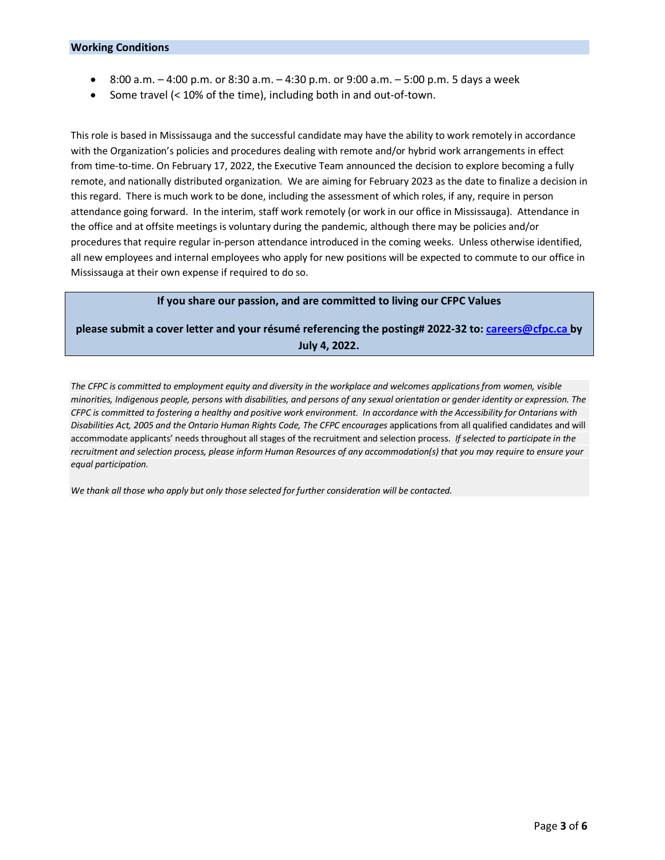- 8:00 a.m. 4:00 p.m. or 8:30 a.m. 4:30 p.m. or 9:00 a.m. 5:00 p.m. 5 days a week
- Some travel (< 10% of the time), including both in and out-of-town.

This role is based in Mississauga and the successful candidate may have the ability to work remotely in accordance with the Organization's policies and procedures dealing with remote and/or hybrid work arrangements in effect from time-to-time. On February 17, 2022, the Executive Team announced the decision to explore becoming a fully remote, and nationally distributed organization. We are aiming for February 2023 as the date to finalize a decision in this regard. There is much work to be done, including the assessment of which roles, if any, require in person attendance going forward. In the interim, staff work remotely (or work in our office in Mississauga). Attendance in the office and at offsite meetings is voluntary during the pandemic, although there may be policies and/or procedures that require regular in-person attendance introduced in the coming weeks. Unless otherwise identified, all new employees and internal employees who apply for new positions will be expected to commute to our office in Mississauga at their own expense if required to do so.

### **If you share our passion, and are committed to living our CFPC Values**

**please submit a cover letter and your résumé referencing the posting# 2022-32 to: [careers@cfpc.ca](mailto:careers@cfpc.ca) by July 4, 2022.** 

The CFPC is committed to employment equity and diversity in the workplace and welcomes applications from women, visible minorities, Indigenous people, persons with disabilities, and persons of any sexual orientation or gender identity or expression. The *CFPC is committed to fostering a healthy and positive work environment. In accordance with the Accessibility for Ontarians with Disabilities Act, 2005 and the Ontario Human Rights Code, The CFPC encourages* applications from all qualified candidates and will accommodate applicants' needs throughout all stages of the recruitment and selection process. *If selected to participate in the recruitment and selection process, please inform Human Resources of any accommodation(s) that you may require to ensure your equal participation.*

*We thank all those who apply but only those selected for further consideration will be contacted.*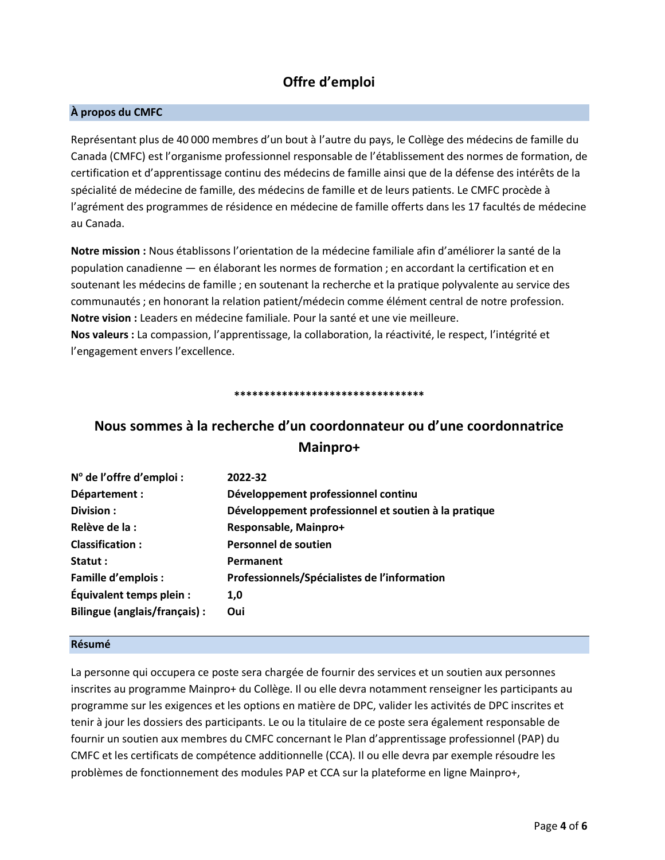## **Offre d'emploi**

## **À propos du CMFC**

Représentant plus de 40 000 membres d'un bout à l'autre du pays, le Collège des médecins de famille du Canada (CMFC) est l'organisme professionnel responsable de l'établissement des normes de formation, de certification et d'apprentissage continu des médecins de famille ainsi que de la défense des intérêts de la spécialité de médecine de famille, des médecins de famille et de leurs patients. Le CMFC procède à l'agrément des programmes de résidence en médecine de famille offerts dans les 17 facultés de médecine au Canada.

**Notre mission :** Nous établissons l'orientation de la médecine familiale afin d'améliorer la santé de la population canadienne — en élaborant les normes de formation ; en accordant la certification et en soutenant les médecins de famille ; en soutenant la recherche et la pratique polyvalente au service des communautés ; en honorant la relation patient/médecin comme élément central de notre profession. **Notre vision :** Leaders en médecine familiale. Pour la santé et une vie meilleure. **Nos valeurs :** La compassion, l'apprentissage, la collaboration, la réactivité, le respect, l'intégrité et l'engagement envers l'excellence.

#### **\*\*\*\*\*\*\*\*\*\*\*\*\*\*\*\*\*\*\*\*\*\*\*\*\*\*\*\*\*\*\*\***

# **Nous sommes à la recherche d'un coordonnateur ou d'une coordonnatrice Mainpro+**

| $No$ de l'offre d'emploi :    | 2022-32                                              |
|-------------------------------|------------------------------------------------------|
| Département :                 | Développement professionnel continu                  |
| Division:                     | Développement professionnel et soutien à la pratique |
| Relève de la :                | Responsable, Mainpro+                                |
| <b>Classification:</b>        | Personnel de soutien                                 |
| Statut :                      | Permanent                                            |
| <b>Famille d'emplois :</b>    | Professionnels/Spécialistes de l'information         |
| Équivalent temps plein :      | 1,0                                                  |
| Bilingue (anglais/français) : | Oui                                                  |
|                               |                                                      |

### **Résumé**

La personne qui occupera ce poste sera chargée de fournir des services et un soutien aux personnes inscrites au programme Mainpro+ du Collège. Il ou elle devra notamment renseigner les participants au programme sur les exigences et les options en matière de DPC, valider les activités de DPC inscrites et tenir à jour les dossiers des participants. Le ou la titulaire de ce poste sera également responsable de fournir un soutien aux membres du CMFC concernant le Plan d'apprentissage professionnel (PAP) du CMFC et les certificats de compétence additionnelle (CCA). Il ou elle devra par exemple résoudre les problèmes de fonctionnement des modules PAP et CCA sur la plateforme en ligne Mainpro+,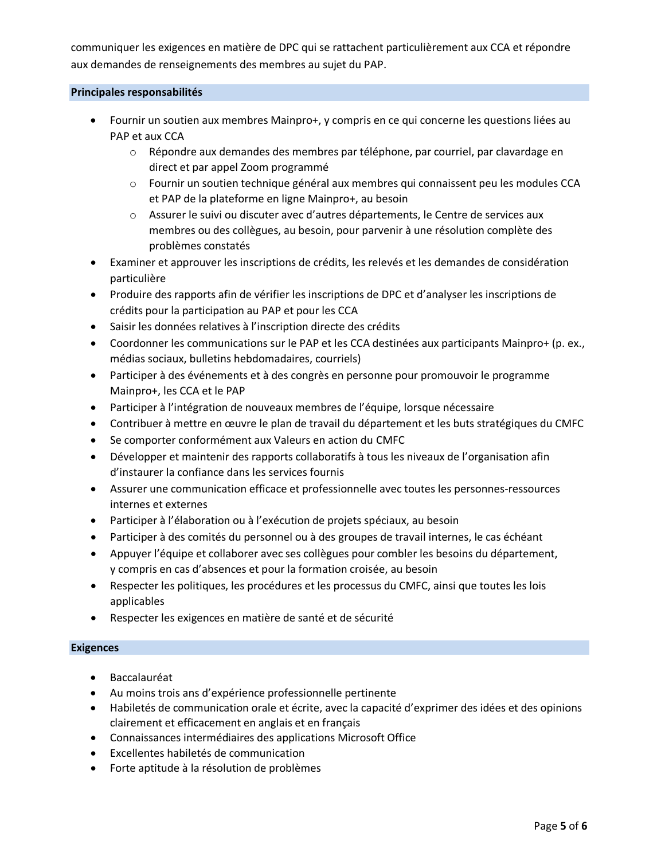communiquer les exigences en matière de DPC qui se rattachent particulièrement aux CCA et répondre aux demandes de renseignements des membres au sujet du PAP.

### **Principales responsabilités**

- Fournir un soutien aux membres Mainpro+, y compris en ce qui concerne les questions liées au PAP et aux CCA
	- $\circ$  Répondre aux demandes des membres par téléphone, par courriel, par clavardage en direct et par appel Zoom programmé
	- o Fournir un soutien technique général aux membres qui connaissent peu les modules CCA et PAP de la plateforme en ligne Mainpro+, au besoin
	- o Assurer le suivi ou discuter avec d'autres départements, le Centre de services aux membres ou des collègues, au besoin, pour parvenir à une résolution complète des problèmes constatés
- Examiner et approuver les inscriptions de crédits, les relevés et les demandes de considération particulière
- Produire des rapports afin de vérifier les inscriptions de DPC et d'analyser les inscriptions de crédits pour la participation au PAP et pour les CCA
- Saisir les données relatives à l'inscription directe des crédits
- Coordonner les communications sur le PAP et les CCA destinées aux participants Mainpro+ (p. ex., médias sociaux, bulletins hebdomadaires, courriels)
- Participer à des événements et à des congrès en personne pour promouvoir le programme Mainpro+, les CCA et le PAP
- Participer à l'intégration de nouveaux membres de l'équipe, lorsque nécessaire
- Contribuer à mettre en œuvre le plan de travail du département et les buts stratégiques du CMFC
- Se comporter conformément aux Valeurs en action du CMFC
- Développer et maintenir des rapports collaboratifs à tous les niveaux de l'organisation afin d'instaurer la confiance dans les services fournis
- Assurer une communication efficace et professionnelle avec toutes les personnes-ressources internes et externes
- Participer à l'élaboration ou à l'exécution de projets spéciaux, au besoin
- Participer à des comités du personnel ou à des groupes de travail internes, le cas échéant
- Appuyer l'équipe et collaborer avec ses collègues pour combler les besoins du département, y compris en cas d'absences et pour la formation croisée, au besoin
- Respecter les politiques, les procédures et les processus du CMFC, ainsi que toutes les lois applicables
- Respecter les exigences en matière de santé et de sécurité

### **Exigences**

- Baccalauréat
- Au moins trois ans d'expérience professionnelle pertinente
- Habiletés de communication orale et écrite, avec la capacité d'exprimer des idées et des opinions clairement et efficacement en anglais et en français
- Connaissances intermédiaires des applications Microsoft Office
- Excellentes habiletés de communication
- Forte aptitude à la résolution de problèmes